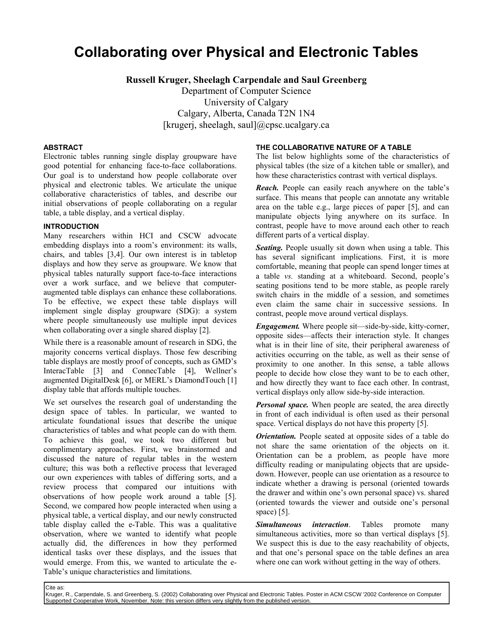# **Collaborating over Physical and Electronic Tables**

**Russell Kruger, Sheelagh Carpendale and Saul Greenberg** 

Department of Computer Science University of Calgary Calgary, Alberta, Canada T2N 1N4 [krugerj, sheelagh, saul]@cpsc.ucalgary.ca

### **ABSTRACT**

Electronic tables running single display groupware have good potential for enhancing face-to-face collaborations. Our goal is to understand how people collaborate over physical and electronic tables. We articulate the unique collaborative characteristics of tables, and describe our initial observations of people collaborating on a regular table, a table display, and a vertical display.

### **INTRODUCTION**

Many researchers within HCI and CSCW advocate embedding displays into a room's environment: its walls, chairs, and tables [3,4]. Our own interest is in tabletop displays and how they serve as groupware. We know that physical tables naturally support face-to-face interactions over a work surface, and we believe that computeraugmented table displays can enhance these collaborations. To be effective, we expect these table displays will implement single display groupware (SDG): a system where people simultaneously use multiple input devices when collaborating over a single shared display [2].

While there is a reasonable amount of research in SDG, the majority concerns vertical displays. Those few describing table displays are mostly proof of concepts, such as GMD's InteracTable [3] and ConnecTable [4], Wellner's augmented DigitalDesk [6], or MERL's DiamondTouch [1] display table that affords multiple touches.

We set ourselves the research goal of understanding the design space of tables. In particular, we wanted to articulate foundational issues that describe the unique characteristics of tables and what people can do with them. To achieve this goal, we took two different but complimentary approaches. First, we brainstormed and discussed the nature of regular tables in the western culture; this was both a reflective process that leveraged our own experiences with tables of differing sorts, and a review process that compared our intuitions with observations of how people work around a table [5]. Second, we compared how people interacted when using a physical table, a vertical display, and our newly constructed table display called the e-Table. This was a qualitative observation, where we wanted to identify what people actually did, the differences in how they performed identical tasks over these displays, and the issues that would emerge. From this, we wanted to articulate the e-Table's unique characteristics and limitations.

### **THE COLLABORATIVE NATURE OF A TABLE**

The list below highlights some of the characteristics of physical tables (the size of a kitchen table or smaller), and how these characteristics contrast with vertical displays.

*Reach.* People can easily reach anywhere on the table's surface. This means that people can annotate any writable area on the table e.g., large pieces of paper [5], and can manipulate objects lying anywhere on its surface. In contrast, people have to move around each other to reach different parts of a vertical display.

*Seating.* People usually sit down when using a table. This has several significant implications. First, it is more comfortable, meaning that people can spend longer times at a table *vs.* standing at a whiteboard. Second, people's seating positions tend to be more stable, as people rarely switch chairs in the middle of a session, and sometimes even claim the same chair in successive sessions. In contrast, people move around vertical displays.

*Engagement.* Where people sit—side-by-side, kitty-corner, opposite sides—affects their interaction style. It changes what is in their line of site, their peripheral awareness of activities occurring on the table, as well as their sense of proximity to one another. In this sense, a table allows people to decide how close they want to be to each other, and how directly they want to face each other. In contrast, vertical displays only allow side-by-side interaction.

*Personal space.* When people are seated, the area directly in front of each individual is often used as their personal space. Vertical displays do not have this property [5].

*Orientation.* People seated at opposite sides of a table do not share the same orientation of the objects on it. Orientation can be a problem, as people have more difficulty reading or manipulating objects that are upsidedown. However, people can use orientation as a resource to indicate whether a drawing is personal (oriented towards the drawer and within one's own personal space) vs. shared (oriented towards the viewer and outside one's personal space) [5].

*Simultaneous interaction*. Tables promote many simultaneous activities, more so than vertical displays [5]. We suspect this is due to the easy reachability of objects, and that one's personal space on the table defines an area where one can work without getting in the way of others.

Cite as:

Kruger, R., Carpendale, S. and Greenberg, S. (2002) Collaborating over Physical and Electronic Tables. Poster in ACM CSCW '2002 Conference on Computer Supported Cooperative Work, November. Note: this version differs very slightly from the published version.